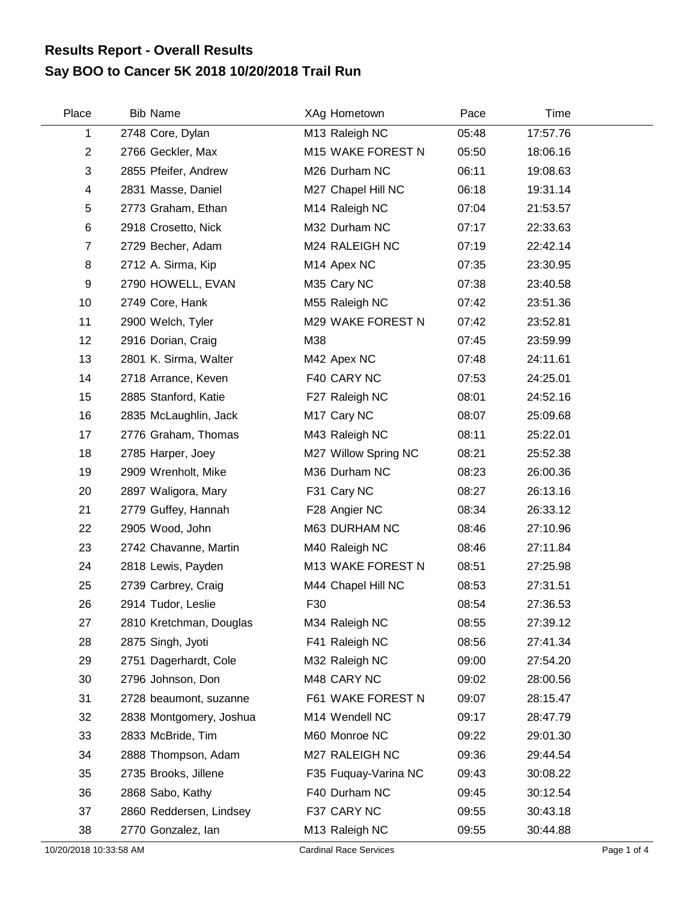## **Say BOO to Cancer 5K 2018 10/20/2018 Trail Run Results Report - Overall Results**

| Place                   | <b>Bib Name</b>         | XAg Hometown            | Pace  | Time     |  |
|-------------------------|-------------------------|-------------------------|-------|----------|--|
| 1                       | 2748 Core, Dylan        | M13 Raleigh NC          | 05:48 | 17:57.76 |  |
| $\overline{2}$          | 2766 Geckler, Max       | M15 WAKE FOREST N       | 05:50 | 18:06.16 |  |
| 3                       | 2855 Pfeifer, Andrew    | M26 Durham NC           | 06:11 | 19:08.63 |  |
| $\overline{\mathbf{4}}$ | 2831 Masse, Daniel      | M27 Chapel Hill NC      | 06:18 | 19:31.14 |  |
| 5                       | 2773 Graham, Ethan      | M14 Raleigh NC          | 07:04 | 21:53.57 |  |
| $\,6$                   | 2918 Crosetto, Nick     | M32 Durham NC           | 07:17 | 22:33.63 |  |
| $\overline{7}$          | 2729 Becher, Adam       | M24 RALEIGH NC          | 07:19 | 22:42.14 |  |
| 8                       | 2712 A. Sirma, Kip      | M14 Apex NC             | 07:35 | 23:30.95 |  |
| 9                       | 2790 HOWELL, EVAN       | M35 Cary NC             | 07:38 | 23:40.58 |  |
| 10                      | 2749 Core, Hank         | M55 Raleigh NC          | 07:42 | 23:51.36 |  |
| 11                      | 2900 Welch, Tyler       | M29 WAKE FOREST N       | 07:42 | 23:52.81 |  |
| 12                      | 2916 Dorian, Craig      | M38                     | 07:45 | 23:59.99 |  |
| 13                      | 2801 K. Sirma, Walter   | M42 Apex NC             | 07:48 | 24:11.61 |  |
| 14                      | 2718 Arrance, Keven     | F40 CARY NC             | 07:53 | 24:25.01 |  |
| 15                      | 2885 Stanford, Katie    | F27 Raleigh NC          | 08:01 | 24:52.16 |  |
| 16                      | 2835 McLaughlin, Jack   | M <sub>17</sub> Cary NC | 08:07 | 25:09.68 |  |
| 17                      | 2776 Graham, Thomas     | M43 Raleigh NC          | 08:11 | 25:22.01 |  |
| 18                      | 2785 Harper, Joey       | M27 Willow Spring NC    | 08:21 | 25:52.38 |  |
| 19                      | 2909 Wrenholt, Mike     | M36 Durham NC           | 08:23 | 26:00.36 |  |
| 20                      | 2897 Waligora, Mary     | F31 Cary NC             | 08:27 | 26:13.16 |  |
| 21                      | 2779 Guffey, Hannah     | F28 Angier NC           | 08:34 | 26:33.12 |  |
| 22                      | 2905 Wood, John         | M63 DURHAM NC           | 08:46 | 27:10.96 |  |
| 23                      | 2742 Chavanne, Martin   | M40 Raleigh NC          | 08:46 | 27:11.84 |  |
| 24                      | 2818 Lewis, Payden      | M13 WAKE FOREST N       | 08:51 | 27:25.98 |  |
| 25                      | 2739 Carbrey, Craig     | M44 Chapel Hill NC      | 08:53 | 27:31.51 |  |
| 26                      | 2914 Tudor, Leslie      | F30                     | 08:54 | 27:36.53 |  |
| 27                      | 2810 Kretchman, Douglas | M34 Raleigh NC          | 08:55 | 27:39.12 |  |
| 28                      | 2875 Singh, Jyoti       | F41 Raleigh NC          | 08:56 | 27:41.34 |  |
| 29                      | 2751 Dagerhardt, Cole   | M32 Raleigh NC          | 09:00 | 27:54.20 |  |
| 30                      | 2796 Johnson, Don       | M48 CARY NC             | 09:02 | 28:00.56 |  |
| 31                      | 2728 beaumont, suzanne  | F61 WAKE FOREST N       | 09:07 | 28:15.47 |  |
| 32                      | 2838 Montgomery, Joshua | M14 Wendell NC          | 09:17 | 28:47.79 |  |
| 33                      | 2833 McBride, Tim       | M60 Monroe NC           | 09:22 | 29:01.30 |  |
| 34                      | 2888 Thompson, Adam     | M27 RALEIGH NC          | 09:36 | 29:44.54 |  |
| 35                      | 2735 Brooks, Jillene    | F35 Fuquay-Varina NC    | 09:43 | 30:08.22 |  |
| 36                      | 2868 Sabo, Kathy        | F40 Durham NC           | 09:45 | 30:12.54 |  |
| 37                      | 2860 Reddersen, Lindsey | F37 CARY NC             | 09:55 | 30:43.18 |  |
| 38                      | 2770 Gonzalez, Ian      | M13 Raleigh NC          | 09:55 | 30:44.88 |  |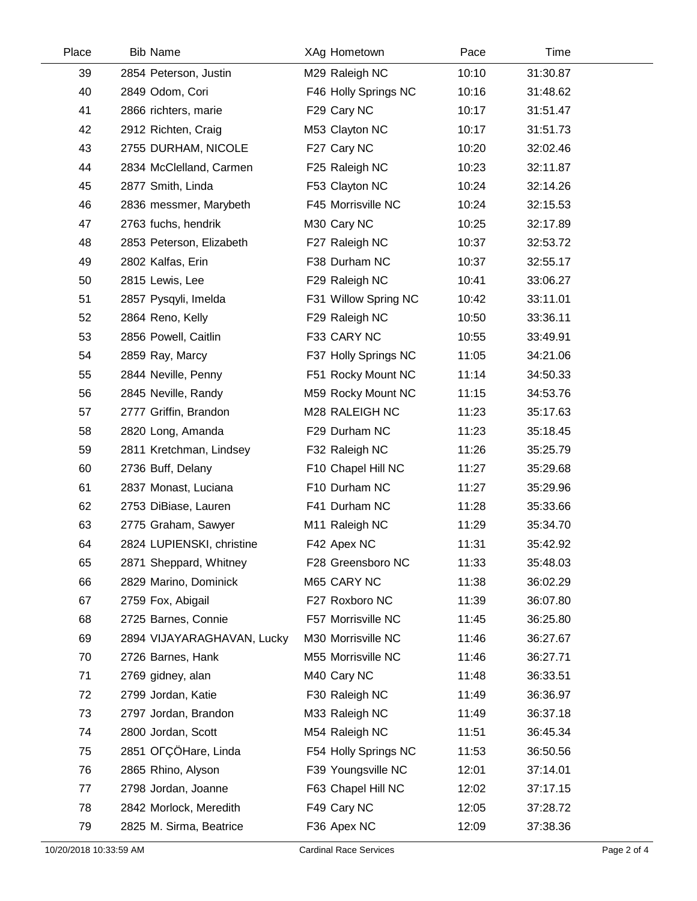| Place | <b>Bib Name</b>            | <b>XAg Hometown</b>  | Pace  | Time     |
|-------|----------------------------|----------------------|-------|----------|
| 39    | 2854 Peterson, Justin      | M29 Raleigh NC       | 10:10 | 31:30.87 |
| 40    | 2849 Odom, Cori            | F46 Holly Springs NC | 10:16 | 31:48.62 |
| 41    | 2866 richters, marie       | F29 Cary NC          | 10:17 | 31:51.47 |
| 42    | 2912 Richten, Craig        | M53 Clayton NC       | 10:17 | 31:51.73 |
| 43    | 2755 DURHAM, NICOLE        | F27 Cary NC          | 10:20 | 32:02.46 |
| 44    | 2834 McClelland, Carmen    | F25 Raleigh NC       | 10:23 | 32:11.87 |
| 45    | 2877 Smith, Linda          | F53 Clayton NC       | 10:24 | 32:14.26 |
| 46    | 2836 messmer, Marybeth     | F45 Morrisville NC   | 10:24 | 32:15.53 |
| 47    | 2763 fuchs, hendrik        | M30 Cary NC          | 10:25 | 32:17.89 |
| 48    | 2853 Peterson, Elizabeth   | F27 Raleigh NC       | 10:37 | 32:53.72 |
| 49    | 2802 Kalfas, Erin          | F38 Durham NC        | 10:37 | 32:55.17 |
| 50    | 2815 Lewis, Lee            | F29 Raleigh NC       | 10:41 | 33:06.27 |
| 51    | 2857 Pysqyli, Imelda       | F31 Willow Spring NC | 10:42 | 33:11.01 |
| 52    | 2864 Reno, Kelly           | F29 Raleigh NC       | 10:50 | 33:36.11 |
| 53    | 2856 Powell, Caitlin       | F33 CARY NC          | 10:55 | 33:49.91 |
| 54    | 2859 Ray, Marcy            | F37 Holly Springs NC | 11:05 | 34:21.06 |
| 55    | 2844 Neville, Penny        | F51 Rocky Mount NC   | 11:14 | 34:50.33 |
| 56    | 2845 Neville, Randy        | M59 Rocky Mount NC   | 11:15 | 34:53.76 |
| 57    | 2777 Griffin, Brandon      | M28 RALEIGH NC       | 11:23 | 35:17.63 |
| 58    | 2820 Long, Amanda          | F29 Durham NC        | 11:23 | 35:18.45 |
| 59    | 2811 Kretchman, Lindsey    | F32 Raleigh NC       | 11:26 | 35:25.79 |
| 60    | 2736 Buff, Delany          | F10 Chapel Hill NC   | 11:27 | 35:29.68 |
| 61    | 2837 Monast, Luciana       | F10 Durham NC        | 11:27 | 35:29.96 |
| 62    | 2753 DiBiase, Lauren       | F41 Durham NC        | 11:28 | 35:33.66 |
| 63    | 2775 Graham, Sawyer        | M11 Raleigh NC       | 11:29 | 35:34.70 |
| 64    | 2824 LUPIENSKI, christine  | F42 Apex NC          | 11:31 | 35:42.92 |
| 65    | 2871 Sheppard, Whitney     | F28 Greensboro NC    | 11:33 | 35:48.03 |
| 66    | 2829 Marino, Dominick      | M65 CARY NC          | 11:38 | 36:02.29 |
| 67    | 2759 Fox, Abigail          | F27 Roxboro NC       | 11:39 | 36:07.80 |
| 68    | 2725 Barnes, Connie        | F57 Morrisville NC   | 11:45 | 36:25.80 |
| 69    | 2894 VIJAYARAGHAVAN, Lucky | M30 Morrisville NC   | 11:46 | 36:27.67 |
| 70    | 2726 Barnes, Hank          | M55 Morrisville NC   | 11:46 | 36:27.71 |
| 71    | 2769 gidney, alan          | M40 Cary NC          | 11:48 | 36:33.51 |
| 72    | 2799 Jordan, Katie         | F30 Raleigh NC       | 11:49 | 36:36.97 |
| 73    | 2797 Jordan, Brandon       | M33 Raleigh NC       | 11:49 | 36:37.18 |
| 74    | 2800 Jordan, Scott         | M54 Raleigh NC       | 11:51 | 36:45.34 |
| 75    | 2851 OFÇÖHare, Linda       | F54 Holly Springs NC | 11:53 | 36:50.56 |
| 76    | 2865 Rhino, Alyson         | F39 Youngsville NC   | 12:01 | 37:14.01 |
| 77    | 2798 Jordan, Joanne        | F63 Chapel Hill NC   | 12:02 | 37:17.15 |
| 78    | 2842 Morlock, Meredith     | F49 Cary NC          | 12:05 | 37:28.72 |
| 79    | 2825 M. Sirma, Beatrice    | F36 Apex NC          | 12:09 | 37:38.36 |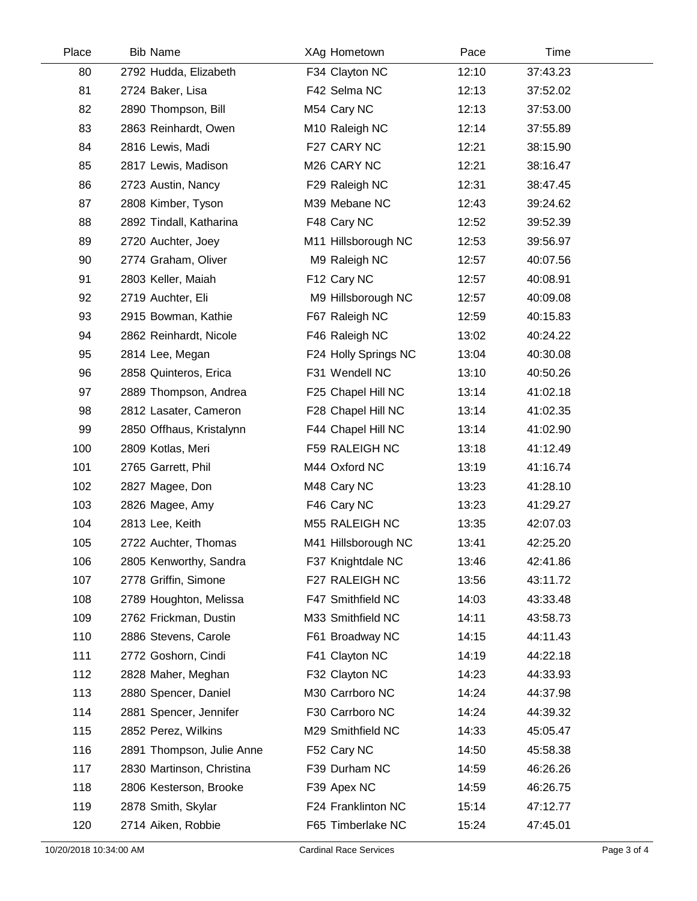| Place | <b>Bib Name</b>           | XAg Hometown            | Pace  | Time     |  |
|-------|---------------------------|-------------------------|-------|----------|--|
| 80    | 2792 Hudda, Elizabeth     | F34 Clayton NC          | 12:10 | 37:43.23 |  |
| 81    | 2724 Baker, Lisa          | F42 Selma NC            | 12:13 | 37:52.02 |  |
| 82    | 2890 Thompson, Bill       | M54 Cary NC             | 12:13 | 37:53.00 |  |
| 83    | 2863 Reinhardt, Owen      | M10 Raleigh NC          | 12:14 | 37:55.89 |  |
| 84    | 2816 Lewis, Madi          | F27 CARY NC             | 12:21 | 38:15.90 |  |
| 85    | 2817 Lewis, Madison       | M <sub>26</sub> CARY NC | 12:21 | 38:16.47 |  |
| 86    | 2723 Austin, Nancy        | F29 Raleigh NC          | 12:31 | 38:47.45 |  |
| 87    | 2808 Kimber, Tyson        | M39 Mebane NC           | 12:43 | 39:24.62 |  |
| 88    | 2892 Tindall, Katharina   | F48 Cary NC             | 12:52 | 39:52.39 |  |
| 89    | 2720 Auchter, Joey        | M11 Hillsborough NC     | 12:53 | 39:56.97 |  |
| 90    | 2774 Graham, Oliver       | M9 Raleigh NC           | 12:57 | 40:07.56 |  |
| 91    | 2803 Keller, Maiah        | F12 Cary NC             | 12:57 | 40:08.91 |  |
| 92    | 2719 Auchter, Eli         | M9 Hillsborough NC      | 12:57 | 40:09.08 |  |
| 93    | 2915 Bowman, Kathie       | F67 Raleigh NC          | 12:59 | 40:15.83 |  |
| 94    | 2862 Reinhardt, Nicole    | F46 Raleigh NC          | 13:02 | 40:24.22 |  |
| 95    | 2814 Lee, Megan           | F24 Holly Springs NC    | 13:04 | 40:30.08 |  |
| 96    | 2858 Quinteros, Erica     | F31 Wendell NC          | 13:10 | 40:50.26 |  |
| 97    | 2889 Thompson, Andrea     | F25 Chapel Hill NC      | 13:14 | 41:02.18 |  |
| 98    | 2812 Lasater, Cameron     | F28 Chapel Hill NC      | 13:14 | 41:02.35 |  |
| 99    | 2850 Offhaus, Kristalynn  | F44 Chapel Hill NC      | 13:14 | 41:02.90 |  |
| 100   | 2809 Kotlas, Meri         | F59 RALEIGH NC          | 13:18 | 41:12.49 |  |
| 101   | 2765 Garrett, Phil        | M44 Oxford NC           | 13:19 | 41:16.74 |  |
| 102   | 2827 Magee, Don           | M48 Cary NC             | 13:23 | 41:28.10 |  |
| 103   | 2826 Magee, Amy           | F46 Cary NC             | 13:23 | 41:29.27 |  |
| 104   | 2813 Lee, Keith           | M55 RALEIGH NC          | 13:35 | 42:07.03 |  |
| 105   | 2722 Auchter, Thomas      | M41 Hillsborough NC     | 13:41 | 42:25.20 |  |
| 106   | 2805 Kenworthy, Sandra    | F37 Knightdale NC       | 13:46 | 42:41.86 |  |
| 107   | 2778 Griffin, Simone      | F27 RALEIGH NC          | 13:56 | 43:11.72 |  |
| 108   | 2789 Houghton, Melissa    | F47 Smithfield NC       | 14:03 | 43:33.48 |  |
| 109   | 2762 Frickman, Dustin     | M33 Smithfield NC       | 14:11 | 43:58.73 |  |
| 110   | 2886 Stevens, Carole      | F61 Broadway NC         | 14:15 | 44:11.43 |  |
| 111   | 2772 Goshorn, Cindi       | F41 Clayton NC          | 14:19 | 44:22.18 |  |
| 112   | 2828 Maher, Meghan        | F32 Clayton NC          | 14:23 | 44:33.93 |  |
| 113   | 2880 Spencer, Daniel      | M30 Carrboro NC         | 14:24 | 44:37.98 |  |
| 114   | 2881 Spencer, Jennifer    | F30 Carrboro NC         | 14:24 | 44:39.32 |  |
| 115   | 2852 Perez, Wilkins       | M29 Smithfield NC       | 14:33 | 45:05.47 |  |
| 116   | 2891 Thompson, Julie Anne | F52 Cary NC             | 14:50 | 45:58.38 |  |
| 117   | 2830 Martinson, Christina | F39 Durham NC           | 14:59 | 46:26.26 |  |
| 118   | 2806 Kesterson, Brooke    | F39 Apex NC             | 14:59 | 46:26.75 |  |
| 119   | 2878 Smith, Skylar        | F24 Franklinton NC      | 15:14 | 47:12.77 |  |
| 120   | 2714 Aiken, Robbie        | F65 Timberlake NC       | 15:24 | 47:45.01 |  |